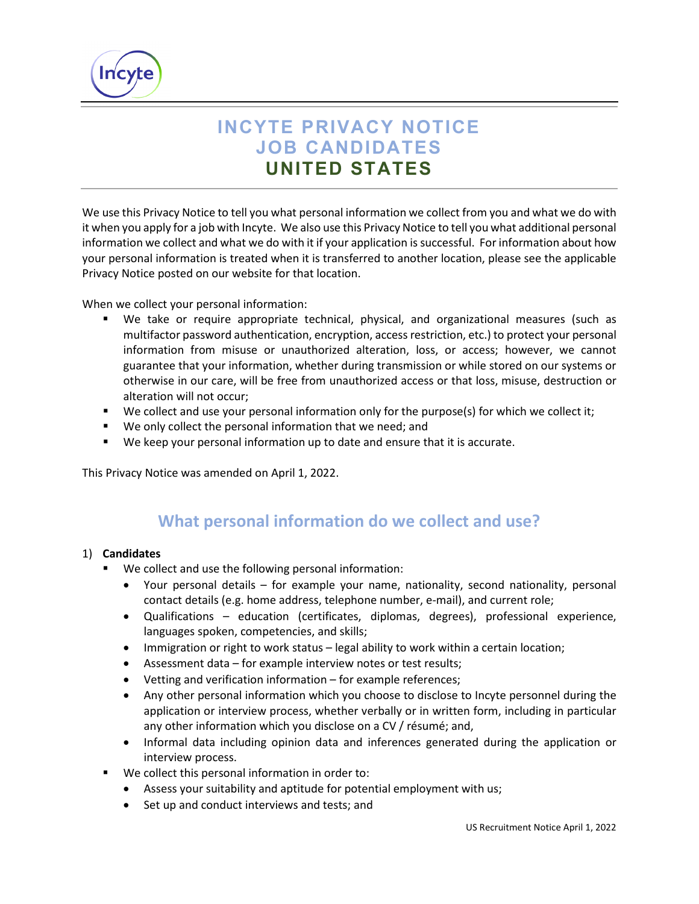

# **INCYTE PRIVACY NOTICE JOB CANDIDATES UNITED STATES**

We use this Privacy Notice to tell you what personal information we collect from you and what we do with it when you apply for a job with Incyte. We also use this Privacy Notice to tell you what additional personal information we collect and what we do with it if your application is successful. For information about how your personal information is treated when it is transferred to another location, please see the applicable Privacy Notice posted on our website for that location.

When we collect your personal information:

- We take or require appropriate technical, physical, and organizational measures (such as multifactor password authentication, encryption, access restriction, etc.) to protect your personal information from misuse or unauthorized alteration, loss, or access; however, we cannot guarantee that your information, whether during transmission or while stored on our systems or otherwise in our care, will be free from unauthorized access or that loss, misuse, destruction or alteration will not occur;
- We collect and use your personal information only for the purpose(s) for which we collect it;
- We only collect the personal information that we need; and
- We keep your personal information up to date and ensure that it is accurate.

This Privacy Notice was amended on April 1, 2022.

### **What personal information do we collect and use?**

#### 1) **Candidates**

- We collect and use the following personal information:
	- Your personal details for example your name, nationality, second nationality, personal contact details (e.g. home address, telephone number, e-mail), and current role;
	- Qualifications education (certificates, diplomas, degrees), professional experience, languages spoken, competencies, and skills;
	- Immigration or right to work status legal ability to work within a certain location;
	- Assessment data for example interview notes or test results;
	- Vetting and verification information for example references;
	- Any other personal information which you choose to disclose to Incyte personnel during the application or interview process, whether verbally or in written form, including in particular any other information which you disclose on a CV / résumé; and,
	- Informal data including opinion data and inferences generated during the application or interview process.
- We collect this personal information in order to:
	- Assess your suitability and aptitude for potential employment with us;
	- Set up and conduct interviews and tests; and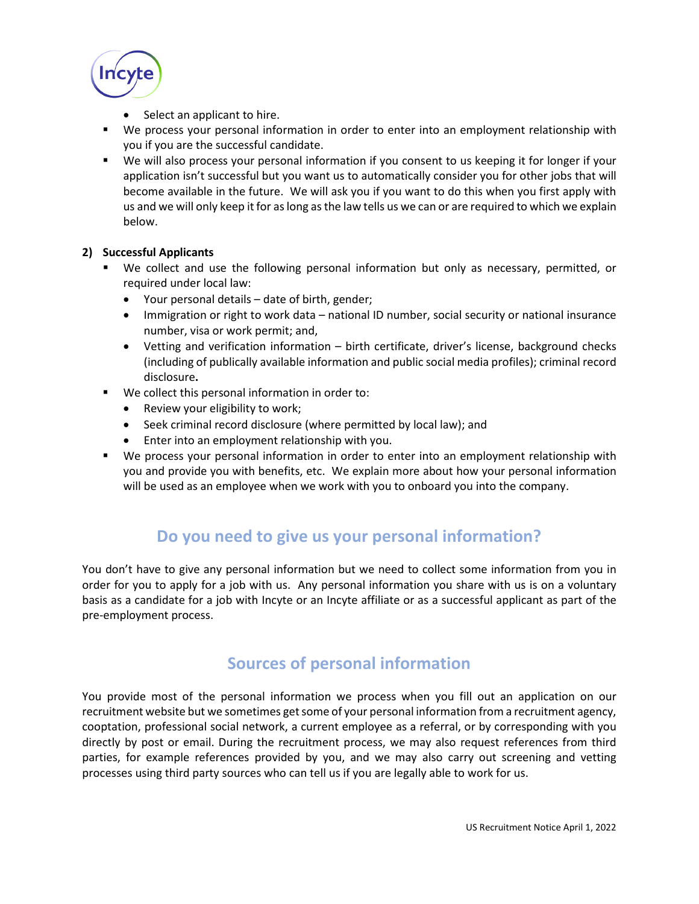

- Select an applicant to hire.
- We process your personal information in order to enter into an employment relationship with you if you are the successful candidate.
- We will also process your personal information if you consent to us keeping it for longer if your application isn't successful but you want us to automatically consider you for other jobs that will become available in the future. We will ask you if you want to do this when you first apply with us and we will only keep it for as long as the law tells us we can or are required to which we explain below.

#### **2) Successful Applicants**

- We collect and use the following personal information but only as necessary, permitted, or required under local law:
	- Your personal details date of birth, gender;
	- Immigration or right to work data national ID number, social security or national insurance number, visa or work permit; and,
	- Vetting and verification information birth certificate, driver's license, background checks (including of publically available information and public social media profiles); criminal record disclosure**.**
- We collect this personal information in order to:
	- Review your eligibility to work;
	- Seek criminal record disclosure (where permitted by local law); and
	- Enter into an employment relationship with you.
- We process your personal information in order to enter into an employment relationship with you and provide you with benefits, etc. We explain more about how your personal information will be used as an employee when we work with you to onboard you into the company.

### **Do you need to give us your personal information?**

You don't have to give any personal information but we need to collect some information from you in order for you to apply for a job with us. Any personal information you share with us is on a voluntary basis as a candidate for a job with Incyte or an Incyte affiliate or as a successful applicant as part of the pre-employment process.

#### **Sources of personal information**

You provide most of the personal information we process when you fill out an application on our recruitment website but we sometimes get some of your personal information from a recruitment agency, cooptation, professional social network, a current employee as a referral, or by corresponding with you directly by post or email. During the recruitment process, we may also request references from third parties, for example references provided by you, and we may also carry out screening and vetting processes using third party sources who can tell us if you are legally able to work for us.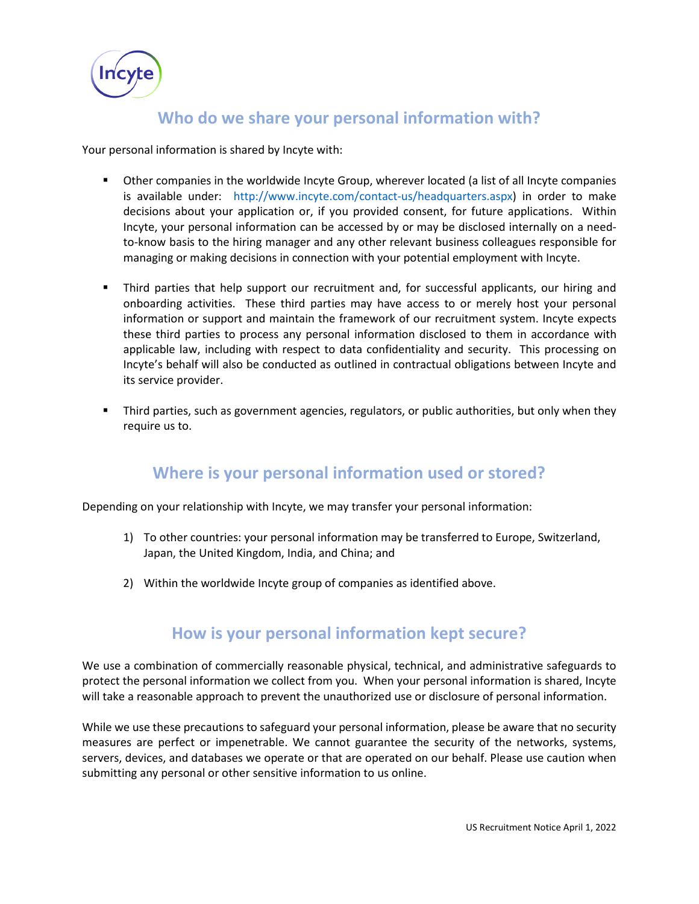**Incyte** 

#### **Who do we share your personal information with?**

Your personal information is shared by Incyte with:

- Other companies in the worldwide Incyte Group, wherever located (a list of all Incyte companies is available under: http://www.incyte.com/contact-us/headquarters.aspx) in order to make decisions about your application or, if you provided consent, for future applications. Within Incyte, your personal information can be accessed by or may be disclosed internally on a needto-know basis to the hiring manager and any other relevant business colleagues responsible for managing or making decisions in connection with your potential employment with Incyte.
- Third parties that help support our recruitment and, for successful applicants, our hiring and onboarding activities. These third parties may have access to or merely host your personal information or support and maintain the framework of our recruitment system. Incyte expects these third parties to process any personal information disclosed to them in accordance with applicable law, including with respect to data confidentiality and security. This processing on Incyte's behalf will also be conducted as outlined in contractual obligations between Incyte and its service provider.
- **Third parties, such as government agencies, regulators, or public authorities, but only when they** require us to.

### **Where is your personal information used or stored?**

Depending on your relationship with Incyte, we may transfer your personal information:

- 1) To other countries: your personal information may be transferred to Europe, Switzerland, Japan, the United Kingdom, India, and China; and
- 2) Within the worldwide Incyte group of companies as identified above.

#### **How is your personal information kept secure?**

We use a combination of commercially reasonable physical, technical, and administrative safeguards to protect the personal information we collect from you. When your personal information is shared, Incyte will take a reasonable approach to prevent the unauthorized use or disclosure of personal information.

While we use these precautions to safeguard your personal information, please be aware that no security measures are perfect or impenetrable. We cannot guarantee the security of the networks, systems, servers, devices, and databases we operate or that are operated on our behalf. Please use caution when submitting any personal or other sensitive information to us online.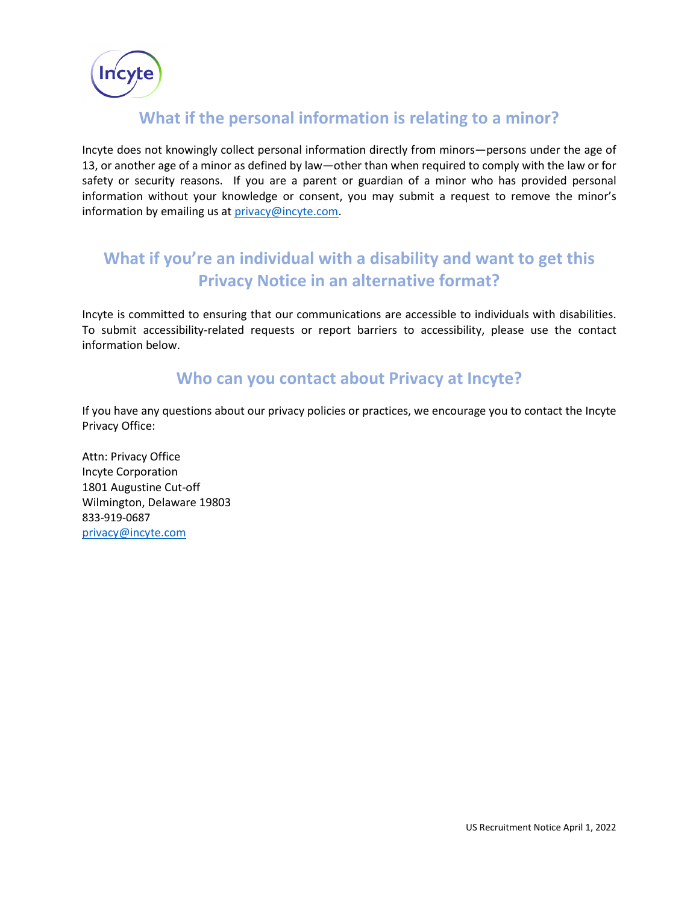

#### **What if the personal information is relating to a minor?**

Incyte does not knowingly collect personal information directly from minors—persons under the age of 13, or another age of a minor as defined by law—other than when required to comply with the law or for safety or security reasons. If you are a parent or guardian of a minor who has provided personal information without your knowledge or consent, you may submit a request to remove the minor's information by emailing us at [privacy@incyte.com.](mailto:privacy@incyte.com)

# **What if you're an individual with a disability and want to get this Privacy Notice in an alternative format?**

Incyte is committed to ensuring that our communications are accessible to individuals with disabilities. To submit accessibility-related requests or report barriers to accessibility, please use the contact information below.

#### **Who can you contact about Privacy at Incyte?**

If you have any questions about our privacy policies or practices, we encourage you to contact the Incyte Privacy Office:

Attn: Privacy Office Incyte Corporation 1801 Augustine Cut-off Wilmington, Delaware 19803 833-919-0687 [privacy@incyte.com](mailto:privacy@incyte.com)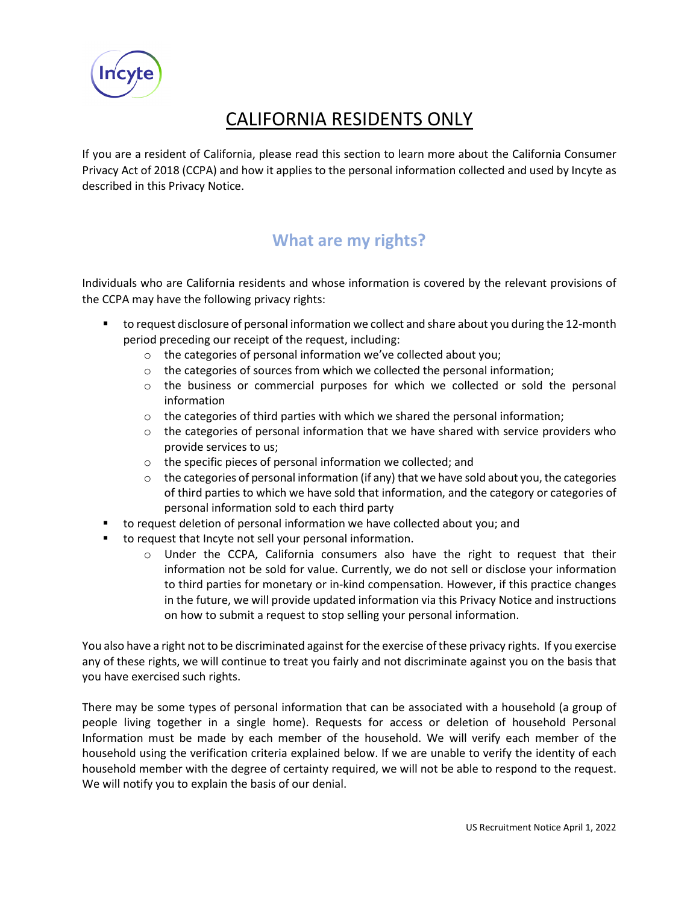

# CALIFORNIA RESIDENTS ONLY

If you are a resident of California, please read this section to learn more about the California Consumer Privacy Act of 2018 (CCPA) and how it applies to the personal information collected and used by Incyte as described in this Privacy Notice.

## **What are my rights?**

Individuals who are California residents and whose information is covered by the relevant provisions of the CCPA may have the following privacy rights:

- to request disclosure of personal information we collect and share about you during the 12-month period preceding our receipt of the request, including:
	- o the categories of personal information we've collected about you;
	- o the categories of sources from which we collected the personal information;
	- o the business or commercial purposes for which we collected or sold the personal information
	- $\circ$  the categories of third parties with which we shared the personal information;
	- $\circ$  the categories of personal information that we have shared with service providers who provide services to us;
	- o the specific pieces of personal information we collected; and
	- $\circ$  the categories of personal information (if any) that we have sold about you, the categories of third parties to which we have sold that information, and the category or categories of personal information sold to each third party
- to request deletion of personal information we have collected about you; and
- to request that Incyte not sell your personal information.
	- $\circ$  Under the CCPA, California consumers also have the right to request that their information not be sold for value. Currently, we do not sell or disclose your information to third parties for monetary or in-kind compensation. However, if this practice changes in the future, we will provide updated information via this Privacy Notice and instructions on how to submit a request to stop selling your personal information.

You also have a right not to be discriminated against for the exercise of these privacy rights. If you exercise any of these rights, we will continue to treat you fairly and not discriminate against you on the basis that you have exercised such rights.

There may be some types of personal information that can be associated with a household (a group of people living together in a single home). Requests for access or deletion of household Personal Information must be made by each member of the household. We will verify each member of the household using the verification criteria explained below. If we are unable to verify the identity of each household member with the degree of certainty required, we will not be able to respond to the request. We will notify you to explain the basis of our denial.